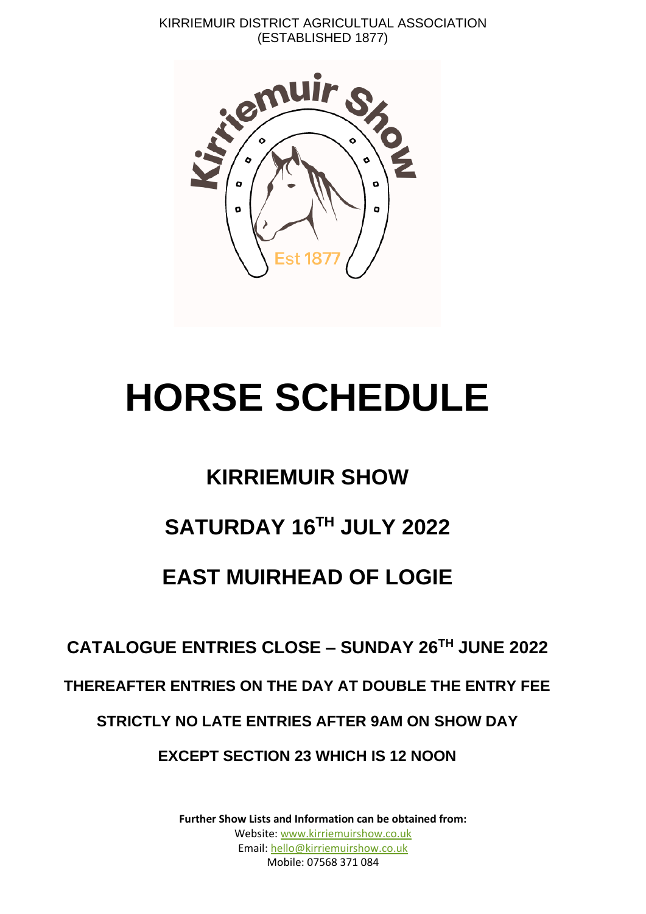KIRRIEMUIR DISTRICT AGRICULTUAL ASSOCIATION (ESTABLISHED 1877)



# **HORSE SCHEDULE**

### **KIRRIEMUIR SHOW**

## **SATURDAY 16TH JULY 2022**

### **EAST MUIRHEAD OF LOGIE**

### **CATALOGUE ENTRIES CLOSE – SUNDAY 26TH JUNE 2022**

#### **THEREAFTER ENTRIES ON THE DAY AT DOUBLE THE ENTRY FEE**

### **STRICTLY NO LATE ENTRIES AFTER 9AM ON SHOW DAY**

#### **EXCEPT SECTION 23 WHICH IS 12 NOON**

**Further Show Lists and Information can be obtained from:** Website: [www.kirriemuirshow.co.uk](http://www.kirriemuirshow.co.uk/) Email: [hello@kirriemuirshow.co.uk](mailto:hello@kirriemuirshow.co.uk) Mobile: 07568 371 084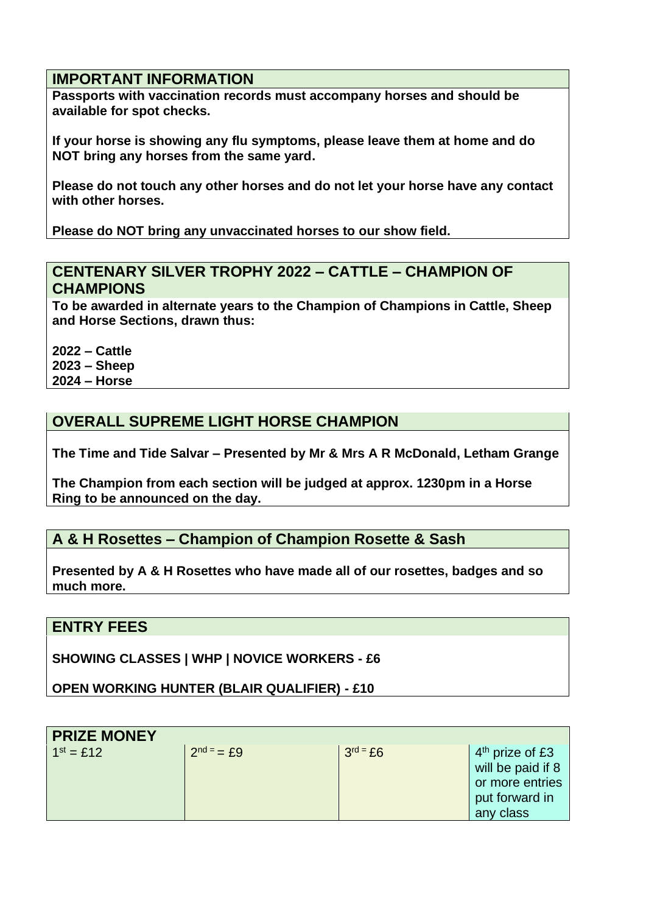#### **IMPORTANT INFORMATION**

**Passports with vaccination records must accompany horses and should be available for spot checks.**

**If your horse is showing any flu symptoms, please leave them at home and do NOT bring any horses from the same yard.**

**Please do not touch any other horses and do not let your horse have any contact with other horses.**

**Please do NOT bring any unvaccinated horses to our show field.**

#### **CENTENARY SILVER TROPHY 2022 – CATTLE – CHAMPION OF CHAMPIONS**

**To be awarded in alternate years to the Champion of Champions in Cattle, Sheep and Horse Sections, drawn thus:**

**2022 – Cattle 2023 – Sheep 2024 – Horse**

#### **OVERALL SUPREME LIGHT HORSE CHAMPION**

**The Time and Tide Salvar – Presented by Mr & Mrs A R McDonald, Letham Grange**

**The Champion from each section will be judged at approx. 1230pm in a Horse Ring to be announced on the day.**

#### **A & H Rosettes – Champion of Champion Rosette & Sash**

**Presented by A & H Rosettes who have made all of our rosettes, badges and so much more.**

#### **ENTRY FEES**

**SHOWING CLASSES | WHP | NOVICE WORKERS - £6**

**OPEN WORKING HUNTER (BLAIR QUALIFIER) - £10**

| <b>PRIZE MONEY</b> |                      |            |                   |  |  |  |  |  |
|--------------------|----------------------|------------|-------------------|--|--|--|--|--|
| $1^{st} = £12$     | $2^{nd} = \pounds 9$ | $3rd = £6$ | $4th$ prize of £3 |  |  |  |  |  |
|                    |                      |            | will be paid if 8 |  |  |  |  |  |
|                    |                      |            | or more entries   |  |  |  |  |  |
|                    |                      |            | put forward in    |  |  |  |  |  |
|                    |                      |            | any class         |  |  |  |  |  |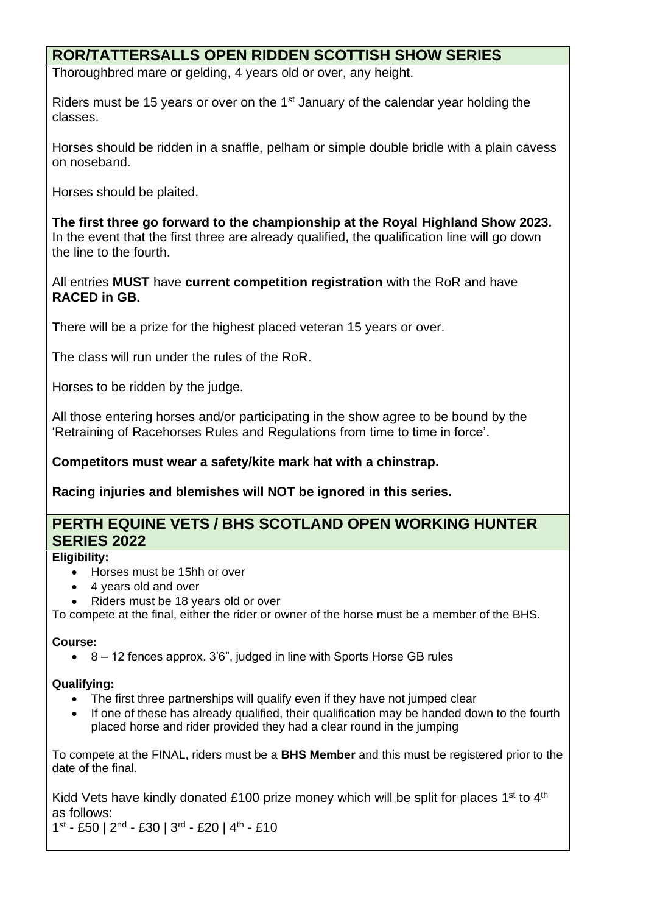#### **ROR/TATTERSALLS OPEN RIDDEN SCOTTISH SHOW SERIES**

Thoroughbred mare or gelding, 4 years old or over, any height.

Riders must be 15 years or over on the 1st January of the calendar year holding the classes.

Horses should be ridden in a snaffle, pelham or simple double bridle with a plain cavess on noseband.

Horses should be plaited.

**The first three go forward to the championship at the Royal Highland Show 2023.**  In the event that the first three are already qualified, the qualification line will go down the line to the fourth.

All entries **MUST** have **current competition registration** with the RoR and have **RACED in GB.**

There will be a prize for the highest placed veteran 15 years or over.

The class will run under the rules of the RoR.

Horses to be ridden by the judge.

All those entering horses and/or participating in the show agree to be bound by the 'Retraining of Racehorses Rules and Regulations from time to time in force'.

**Competitors must wear a safety/kite mark hat with a chinstrap.**

**Racing injuries and blemishes will NOT be ignored in this series.**

#### **PERTH EQUINE VETS / BHS SCOTLAND OPEN WORKING HUNTER SERIES 2022**

#### **Eligibility:**

- Horses must be 15hh or over
- 4 years old and over
- Riders must be 18 years old or over

To compete at the final, either the rider or owner of the horse must be a member of the BHS.

#### **Course:**

• 8 – 12 fences approx. 3'6", judged in line with Sports Horse GB rules

#### **Qualifying:**

- The first three partnerships will qualify even if they have not jumped clear
- If one of these has already qualified, their qualification may be handed down to the fourth placed horse and rider provided they had a clear round in the jumping

To compete at the FINAL, riders must be a **BHS Member** and this must be registered prior to the date of the final.

Kidd Vets have kindly donated £100 prize money which will be split for places 1<sup>st</sup> to 4<sup>th</sup> as follows:

 $1<sup>st</sup> - £50 | 2<sup>nd</sup> - £30 | 3<sup>rd</sup> - £20 | 4<sup>th</sup> - £10$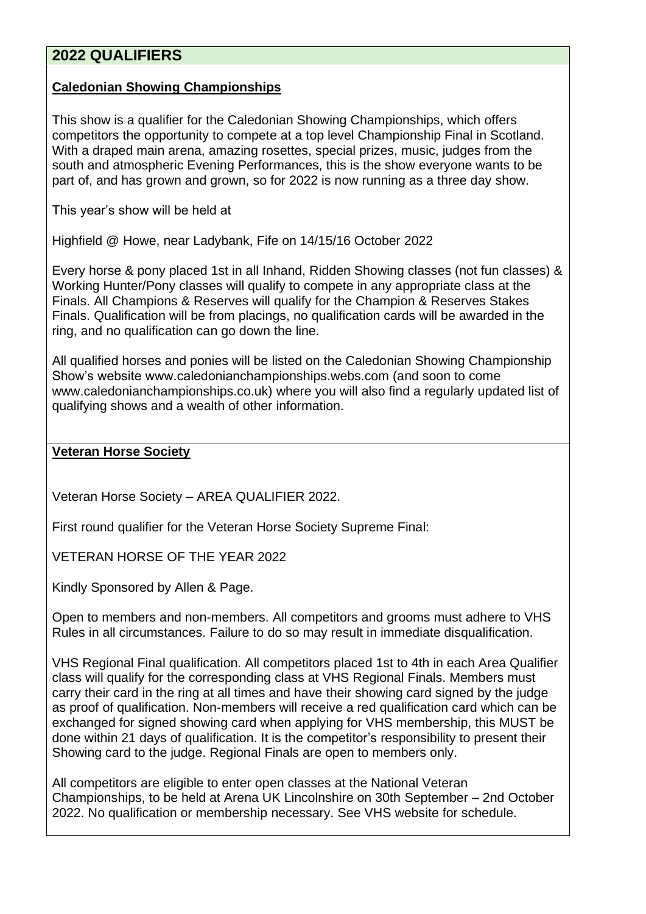#### **2022 QUALIFIERS**

#### **Caledonian Showing Championships**

This show is a qualifier for the Caledonian Showing Championships, which offers competitors the opportunity to compete at a top level Championship Final in Scotland. With a draped main arena, amazing rosettes, special prizes, music, judges from the south and atmospheric Evening Performances, this is the show everyone wants to be part of, and has grown and grown, so for 2022 is now running as a three day show.

This year's show will be held at

Highfield @ Howe, near Ladybank, Fife on 14/15/16 October 2022

Every horse & pony placed 1st in all Inhand, Ridden Showing classes (not fun classes) & Working Hunter/Pony classes will qualify to compete in any appropriate class at the Finals. All Champions & Reserves will qualify for the Champion & Reserves Stakes Finals. Qualification will be from placings, no qualification cards will be awarded in the ring, and no qualification can go down the line.

All qualified horses and ponies will be listed on the Caledonian Showing Championship Show's website www.caledonianchampionships.webs.com (and soon to come www.caledonianchampionships.co.uk) where you will also find a regularly updated list of qualifying shows and a wealth of other information.

#### **Veteran Horse Society**

Veteran Horse Society – AREA QUALIFIER 2022.

First round qualifier for the Veteran Horse Society Supreme Final:

VETERAN HORSE OF THE YEAR 2022

Kindly Sponsored by Allen & Page.

Open to members and non-members. All competitors and grooms must adhere to VHS Rules in all circumstances. Failure to do so may result in immediate disqualification.

VHS Regional Final qualification. All competitors placed 1st to 4th in each Area Qualifier class will qualify for the corresponding class at VHS Regional Finals. Members must carry their card in the ring at all times and have their showing card signed by the judge as proof of qualification. Non-members will receive a red qualification card which can be exchanged for signed showing card when applying for VHS membership, this MUST be done within 21 days of qualification. It is the competitor's responsibility to present their Showing card to the judge. Regional Finals are open to members only.

All competitors are eligible to enter open classes at the National Veteran Championships, to be held at Arena UK Lincolnshire on 30th September – 2nd October 2022. No qualification or membership necessary. See VHS website for schedule.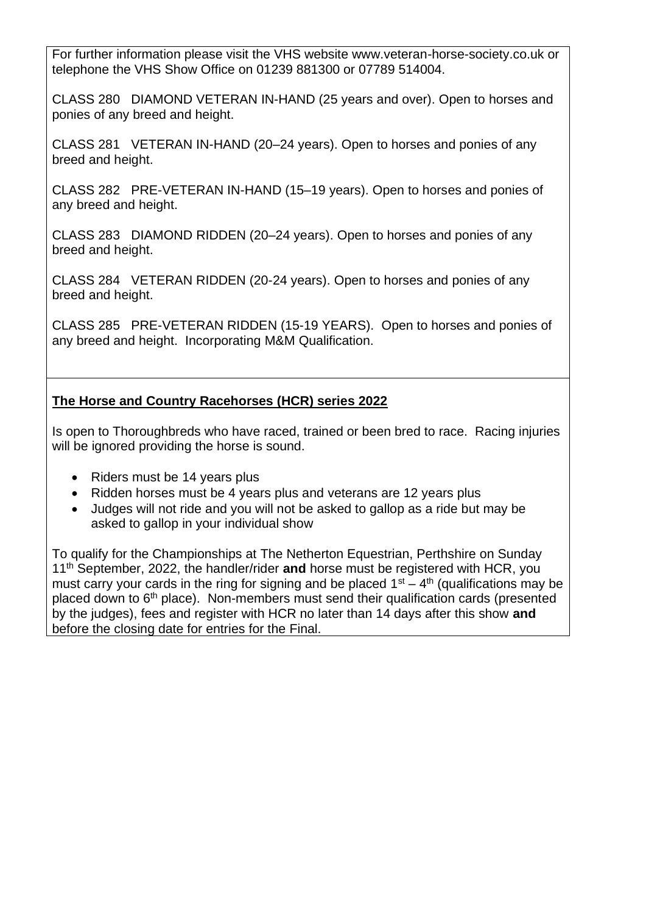For further information please visit the VHS website www.veteran-horse-society.co.uk or telephone the VHS Show Office on 01239 881300 or 07789 514004.

CLASS 280 DIAMOND VETERAN IN-HAND (25 years and over). Open to horses and ponies of any breed and height.

CLASS 281 VETERAN IN-HAND (20–24 years). Open to horses and ponies of any breed and height.

CLASS 282 PRE-VETERAN IN-HAND (15–19 years). Open to horses and ponies of any breed and height.

CLASS 283 DIAMOND RIDDEN (20–24 years). Open to horses and ponies of any breed and height.

CLASS 284 VETERAN RIDDEN (20-24 years). Open to horses and ponies of any breed and height.

CLASS 285 PRE-VETERAN RIDDEN (15-19 YEARS). Open to horses and ponies of any breed and height. Incorporating M&M Qualification.

#### **The Horse and Country Racehorses (HCR) series 2022**

Is open to Thoroughbreds who have raced, trained or been bred to race. Racing injuries will be ignored providing the horse is sound.

- Riders must be 14 years plus
- Ridden horses must be 4 years plus and veterans are 12 years plus
- Judges will not ride and you will not be asked to gallop as a ride but may be asked to gallop in your individual show

To qualify for the Championships at The Netherton Equestrian, Perthshire on Sunday 11th September, 2022, the handler/rider **and** horse must be registered with HCR, you must carry your cards in the ring for signing and be placed  $1<sup>st</sup> - 4<sup>th</sup>$  (qualifications may be placed down to  $6<sup>th</sup>$  place). Non-members must send their qualification cards (presented by the judges), fees and register with HCR no later than 14 days after this show **and**  before the closing date for entries for the Final.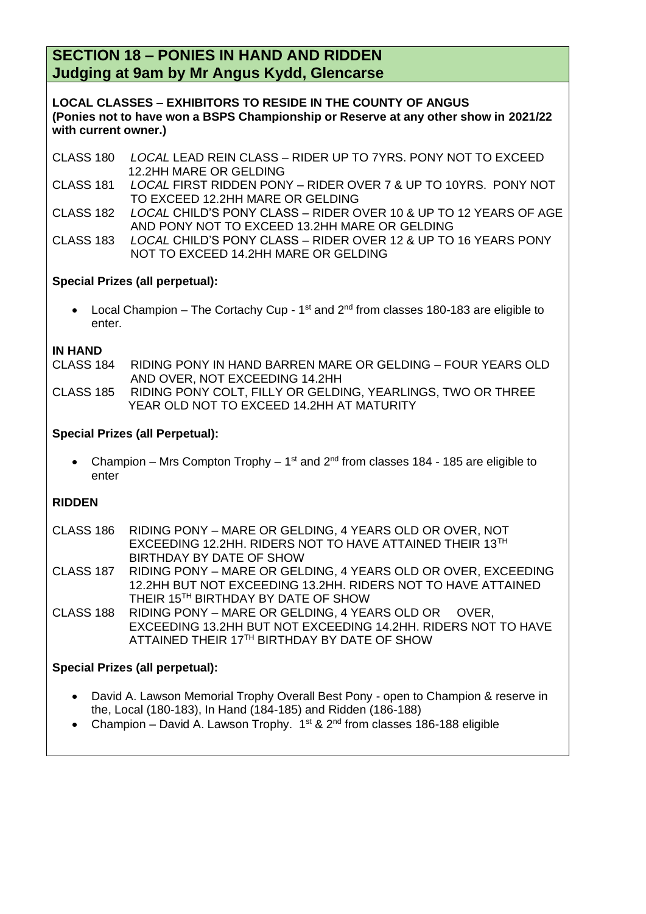#### **SECTION 18 – PONIES IN HAND AND RIDDEN Judging at 9am by Mr Angus Kydd, Glencarse**

**LOCAL CLASSES – EXHIBITORS TO RESIDE IN THE COUNTY OF ANGUS (Ponies not to have won a BSPS Championship or Reserve at any other show in 2021/22 with current owner.)**

- CLASS 180 *LOCAL* LEAD REIN CLASS RIDER UP TO 7YRS. PONY NOT TO EXCEED 12.2HH MARE OR GELDING
- CLASS 181 *LOCAL* FIRST RIDDEN PONY RIDER OVER 7 & UP TO 10YRS. PONY NOT TO EXCEED 12.2HH MARE OR GELDING
- CLASS 182 *LOCAL* CHILD'S PONY CLASS RIDER OVER 10 & UP TO 12 YEARS OF AGE AND PONY NOT TO EXCEED 13.2HH MARE OR GELDING

CLASS 183 *LOCAL* CHILD'S PONY CLASS – RIDER OVER 12 & UP TO 16 YEARS PONY NOT TO EXCEED 14.2HH MARE OR GELDING

#### **Special Prizes (all perpetual):**

• Local Champion – The Cortachy Cup -  $1<sup>st</sup>$  and  $2<sup>nd</sup>$  from classes 180-183 are eligible to enter.

**IN HAND** RIDING PONY IN HAND BARREN MARE OR GELDING – FOUR YEARS OLD AND OVER, NOT EXCEEDING 14.2HH

CLASS 185 RIDING PONY COLT, FILLY OR GELDING, YEARLINGS, TWO OR THREE YEAR OLD NOT TO EXCEED 14.2HH AT MATURITY

#### **Special Prizes (all Perpetual):**

• Champion – Mrs Compton Trophy –  $1<sup>st</sup>$  and  $2<sup>nd</sup>$  from classes 184 - 185 are eligible to enter

#### **RIDDEN**

| <b>CLASS 186</b>                | RIDING PONY – MARE OR GELDING, 4 YEARS OLD OR OVER, NOT<br>EXCEEDING 12.2HH. RIDERS NOT TO HAVE ATTAINED THEIR 13TH<br>BIRTHDAY BY DATE OF SHOW                                  |  |  |  |  |
|---------------------------------|----------------------------------------------------------------------------------------------------------------------------------------------------------------------------------|--|--|--|--|
| <b>CLASS 187</b>                | RIDING PONY - MARE OR GELDING, 4 YEARS OLD OR OVER, EXCEEDING<br>12.2HH BUT NOT EXCEEDING 13.2HH. RIDERS NOT TO HAVE ATTAINED<br>THEIR 15 <sup>TH</sup> BIRTHDAY BY DATE OF SHOW |  |  |  |  |
| <b>CLASS 188</b>                | RIDING PONY - MARE OR GELDING, 4 YEARS OLD OR OVER,<br>EXCEEDING 13.2HH BUT NOT EXCEEDING 14.2HH. RIDERS NOT TO HAVE<br>ATTAINED THEIR 17TH BIRTHDAY BY DATE OF SHOW             |  |  |  |  |
| Special Prizes (all perpetual): |                                                                                                                                                                                  |  |  |  |  |

- David A. Lawson Memorial Trophy Overall Best Pony open to Champion & reserve in the, Local (180-183), In Hand (184-185) and Ridden (186-188)
- Champion David A. Lawson Trophy.  $1^{st}$  &  $2^{nd}$  from classes 186-188 eligible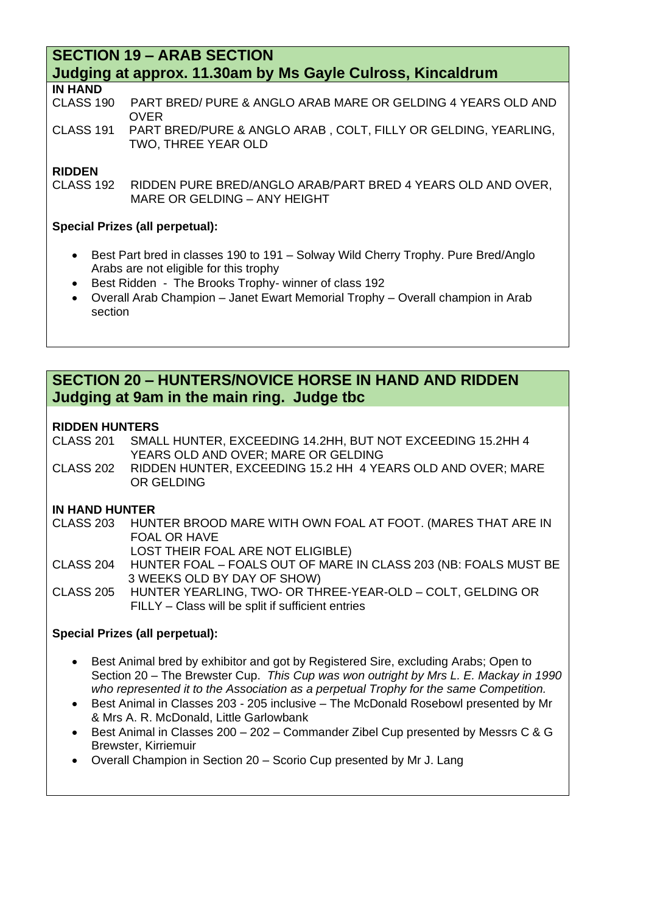#### **SECTION 19 – ARAB SECTION Judging at approx. 11.30am by Ms Gayle Culross, Kincaldrum**

#### **IN HAND**

CLASS 190 PART BRED/ PURE & ANGLO ARAB MARE OR GELDING 4 YEARS OLD AND OVER

CLASS 191 PART BRED/PURE & ANGLO ARAB , COLT, FILLY OR GELDING, YEARLING, TWO, THREE YEAR OLD

#### **RIDDEN**

CLASS 192 RIDDEN PURE BRED/ANGLO ARAB/PART BRED 4 YEARS OLD AND OVER, MARE OR GELDING – ANY HEIGHT

#### **Special Prizes (all perpetual):**

- Best Part bred in classes 190 to 191 Solway Wild Cherry Trophy. Pure Bred/Anglo Arabs are not eligible for this trophy
- Best Ridden The Brooks Trophy- winner of class 192
- Overall Arab Champion Janet Ewart Memorial Trophy Overall champion in Arab section

#### **SECTION 20 – HUNTERS/NOVICE HORSE IN HAND AND RIDDEN Judging at 9am in the main ring. Judge tbc**

#### **RIDDEN HUNTERS**

CLASS 201 SMALL HUNTER, EXCEEDING 14.2HH, BUT NOT EXCEEDING 15.2HH 4 YEARS OLD AND OVER; MARE OR GELDING

CLASS 202 RIDDEN HUNTER, EXCEEDING 15.2 HH 4 YEARS OLD AND OVER; MARE OR GELDING

#### **IN HAND HUNTER**

CLASS 203 HUNTER BROOD MARE WITH OWN FOAL AT FOOT. (MARES THAT ARE IN FOAL OR HAVE LOST THEIR FOAL ARE NOT ELIGIBLE) CLASS 204 HUNTER FOAL – FOALS OUT OF MARE IN CLASS 203 (NB: FOALS MUST BE 3 WEEKS OLD BY DAY OF SHOW) CLASS 205 HUNTER YEARLING, TWO- OR THREE-YEAR-OLD – COLT, GELDING OR FILLY – Class will be split if sufficient entries

#### **Special Prizes (all perpetual):**

- Best Animal bred by exhibitor and got by Registered Sire, excluding Arabs; Open to Section 20 – The Brewster Cup. *This Cup was won outright by Mrs L. E. Mackay in 1990 who represented it to the Association as a perpetual Trophy for the same Competition.*
- Best Animal in Classes 203 205 inclusive The McDonald Rosebowl presented by Mr & Mrs A. R. McDonald, Little Garlowbank
- Best Animal in Classes 200 202 Commander Zibel Cup presented by Messrs C & G Brewster, Kirriemuir
- Overall Champion in Section 20 Scorio Cup presented by Mr J. Lang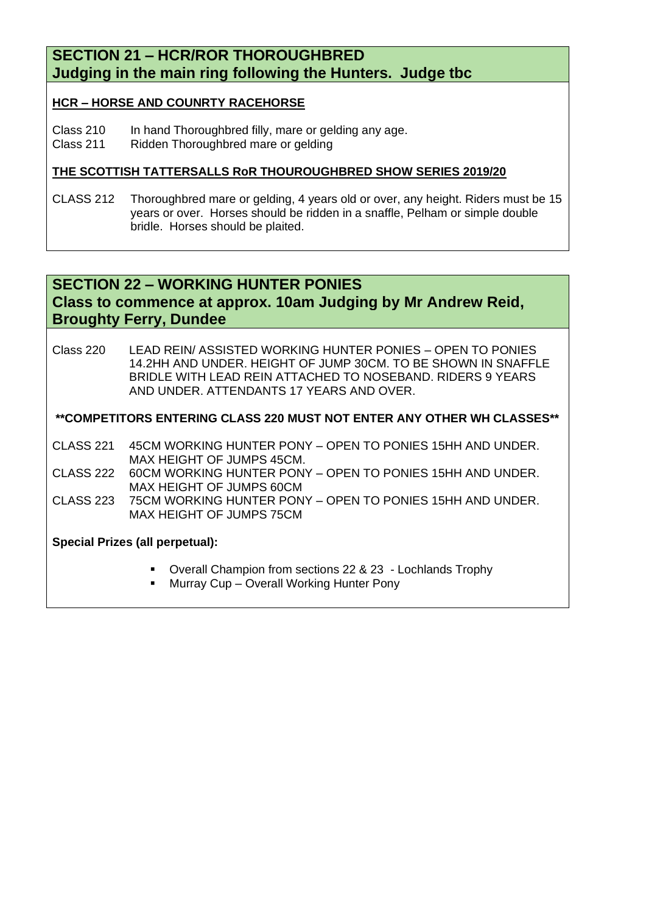#### **SECTION 21 – HCR/ROR THOROUGHBRED Judging in the main ring following the Hunters. Judge tbc**

#### **HCR – HORSE AND COUNRTY RACEHORSE**

Class 210 In hand Thoroughbred filly, mare or gelding any age.

Class 211 Ridden Thoroughbred mare or gelding

#### **THE SCOTTISH TATTERSALLS RoR THOUROUGHBRED SHOW SERIES 2019/20**

CLASS 212 Thoroughbred mare or gelding, 4 years old or over, any height. Riders must be 15 years or over. Horses should be ridden in a snaffle, Pelham or simple double bridle. Horses should be plaited.

#### **SECTION 22 – WORKING HUNTER PONIES Class to commence at approx. 10am Judging by Mr Andrew Reid, Broughty Ferry, Dundee**

Class 220 LEAD REIN/ ASSISTED WORKING HUNTER PONIES – OPEN TO PONIES 14.2HH AND UNDER. HEIGHT OF JUMP 30CM. TO BE SHOWN IN SNAFFLE BRIDLE WITH LEAD REIN ATTACHED TO NOSEBAND. RIDERS 9 YEARS AND UNDER. ATTENDANTS 17 YEARS AND OVER.

#### **\*\*COMPETITORS ENTERING CLASS 220 MUST NOT ENTER ANY OTHER WH CLASSES\*\***

CLASS 221 45CM WORKING HUNTER PONY – OPEN TO PONIES 15HH AND UNDER. MAX HEIGHT OF JUMPS 45CM.

CLASS 222 60CM WORKING HUNTER PONY – OPEN TO PONIES 15HH AND UNDER. MAX HEIGHT OF JUMPS 60CM

CLASS 223 75CM WORKING HUNTER PONY – OPEN TO PONIES 15HH AND UNDER. MAX HEIGHT OF JUMPS 75CM

#### **Special Prizes (all perpetual):**

- Overall Champion from sections 22 & 23 Lochlands Trophy
- Murray Cup Overall Working Hunter Pony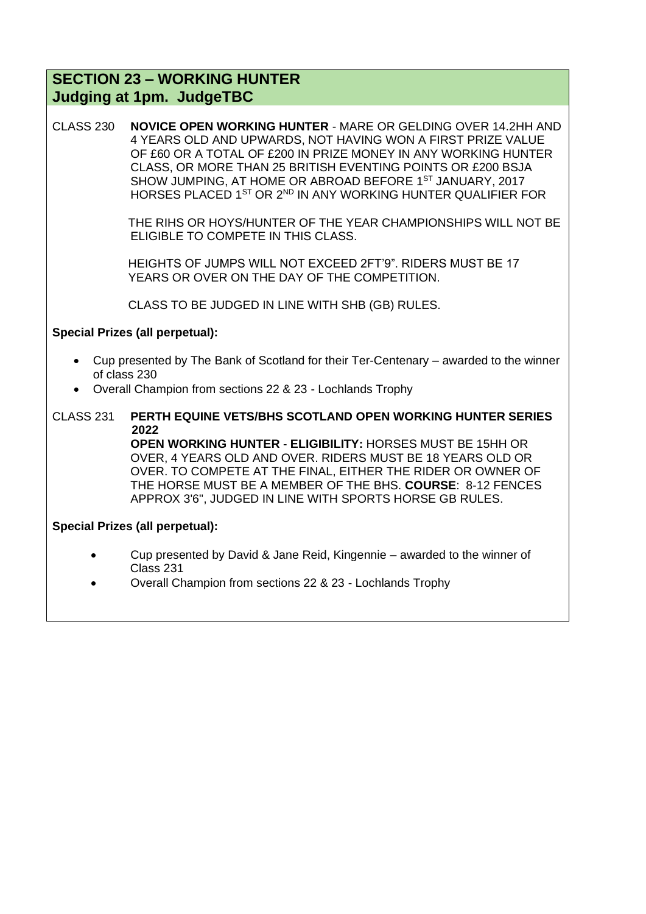#### **SECTION 23 – WORKING HUNTER Judging at 1pm. JudgeTBC**

CLASS 230 **NOVICE OPEN WORKING HUNTER** - MARE OR GELDING OVER 14.2HH AND 4 YEARS OLD AND UPWARDS, NOT HAVING WON A FIRST PRIZE VALUE OF £60 OR A TOTAL OF £200 IN PRIZE MONEY IN ANY WORKING HUNTER CLASS, OR MORE THAN 25 BRITISH EVENTING POINTS OR £200 BSJA SHOW JUMPING, AT HOME OR ABROAD BEFORE 1<sup>ST</sup> JANUARY, 2017 HORSES PLACED 1<sup>ST</sup> OR 2<sup>ND</sup> IN ANY WORKING HUNTER QUALIFIER FOR

> THE RIHS OR HOYS/HUNTER OF THE YEAR CHAMPIONSHIPS WILL NOT BE ELIGIBLE TO COMPETE IN THIS CLASS.

 HEIGHTS OF JUMPS WILL NOT EXCEED 2FT'9". RIDERS MUST BE 17 YEARS OR OVER ON THE DAY OF THE COMPETITION.

CLASS TO BE JUDGED IN LINE WITH SHB (GB) RULES.

#### **Special Prizes (all perpetual):**

- Cup presented by The Bank of Scotland for their Ter-Centenary awarded to the winner of class 230
- Overall Champion from sections 22 & 23 Lochlands Trophy
- CLASS 231 **PERTH EQUINE VETS/BHS SCOTLAND OPEN WORKING HUNTER SERIES 2022 OPEN WORKING HUNTER** - **ELIGIBILITY:** HORSES MUST BE 15HH OR OVER, 4 YEARS OLD AND OVER. RIDERS MUST BE 18 YEARS OLD OR OVER. TO COMPETE AT THE FINAL, EITHER THE RIDER OR OWNER OF THE HORSE MUST BE A MEMBER OF THE BHS. **COURSE**: 8-12 FENCES APPROX 3'6", JUDGED IN LINE WITH SPORTS HORSE GB RULES.

#### **Special Prizes (all perpetual):**

- Cup presented by David & Jane Reid, Kingennie awarded to the winner of Class 231
- Overall Champion from sections 22 & 23 Lochlands Trophy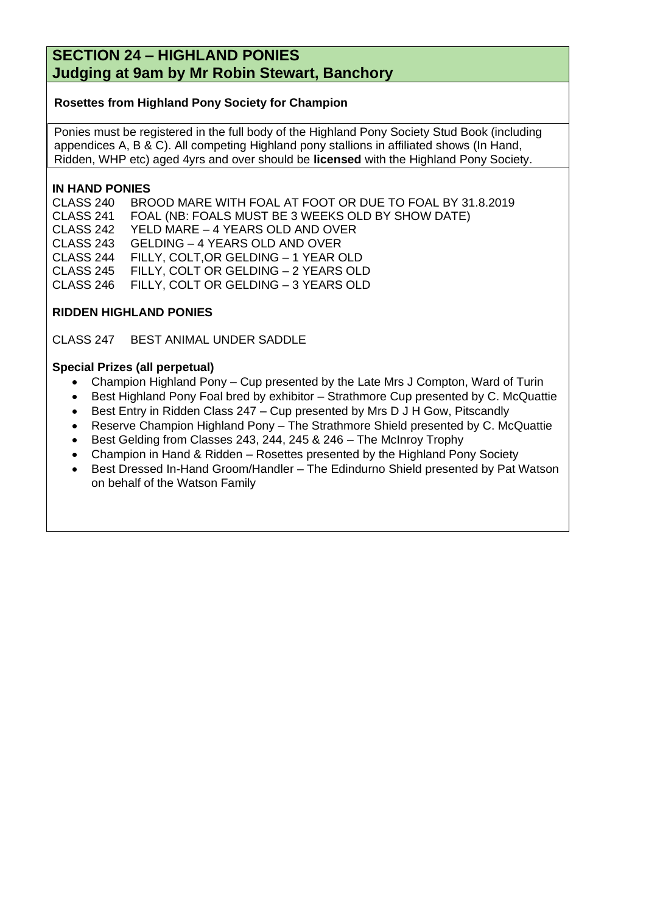#### **SECTION 24 – HIGHLAND PONIES Judging at 9am by Mr Robin Stewart, Banchory**

#### **Rosettes from Highland Pony Society for Champion**

Ponies must be registered in the full body of the Highland Pony Society Stud Book (including appendices A, B & C). All competing Highland pony stallions in affiliated shows (In Hand, Ridden, WHP etc) aged 4yrs and over should be **licensed** with the Highland Pony Society.

#### **IN HAND PONIES**

CLASS 240 BROOD MARE WITH FOAL AT FOOT OR DUE TO FOAL BY 31.8.2019 CLASS 241 FOAL (NB: FOALS MUST BE 3 WEEKS OLD BY SHOW DATE) CLASS 242 YELD MARE – 4 YEARS OLD AND OVER CLASS 243 GELDING – 4 YEARS OLD AND OVER CLASS 244 FILLY, COLT,OR GELDING – 1 YEAR OLD CLASS 245 FILLY, COLT OR GELDING – 2 YEARS OLD CLASS 246 FILLY, COLT OR GELDING – 3 YEARS OLD

#### **RIDDEN HIGHLAND PONIES**

CLASS 247 BEST ANIMAL UNDER SADDLE

#### **Special Prizes (all perpetual)**

- Champion Highland Pony Cup presented by the Late Mrs J Compton, Ward of Turin
- Best Highland Pony Foal bred by exhibitor Strathmore Cup presented by C. McQuattie
- Best Entry in Ridden Class 247 Cup presented by Mrs D J H Gow, Pitscandly
- Reserve Champion Highland Pony The Strathmore Shield presented by C. McQuattie
- Best Gelding from Classes 243, 244, 245 & 246 The McInroy Trophy
- Champion in Hand & Ridden Rosettes presented by the Highland Pony Society
- Best Dressed In-Hand Groom/Handler The Edindurno Shield presented by Pat Watson on behalf of the Watson Family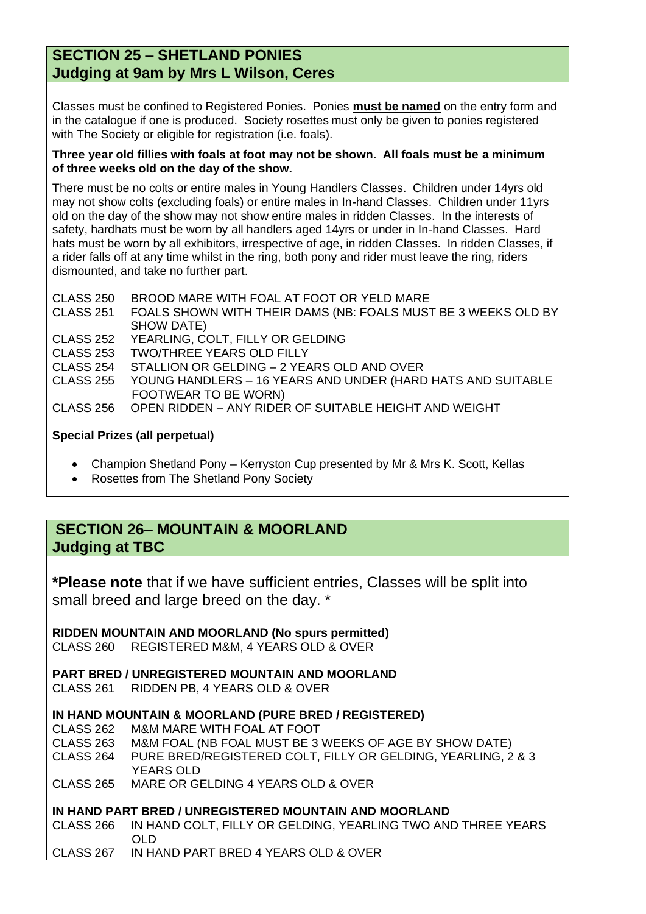#### **SECTION 25 – SHETLAND PONIES Judging at 9am by Mrs L Wilson, Ceres**

Classes must be confined to Registered Ponies. Ponies **must be named** on the entry form and in the catalogue if one is produced. Society rosettes must only be given to ponies registered with The Society or eligible for registration (i.e. foals).

#### **Three year old fillies with foals at foot may not be shown. All foals must be a minimum of three weeks old on the day of the show.**

There must be no colts or entire males in Young Handlers Classes. Children under 14yrs old may not show colts (excluding foals) or entire males in In-hand Classes. Children under 11yrs old on the day of the show may not show entire males in ridden Classes. In the interests of safety, hardhats must be worn by all handlers aged 14yrs or under in In-hand Classes. Hard hats must be worn by all exhibitors, irrespective of age, in ridden Classes. In ridden Classes, if a rider falls off at any time whilst in the ring, both pony and rider must leave the ring, riders dismounted, and take no further part.

CLASS 250 BROOD MARE WITH FOAL AT FOOT OR YELD MARE CLASS 251 FOALS SHOWN WITH THEIR DAMS (NB: FOALS MUST BE 3 WEEKS OLD BY SHOW DATE) CLASS 252 YEARLING, COLT, FILLY OR GELDING CLASS 253 TWO/THREE YEARS OLD FILLY CLASS 254 STALLION OR GELDING – 2 YEARS OLD AND OVER CLASS 255 YOUNG HANDLERS – 16 YEARS AND UNDER (HARD HATS AND SUITABLE FOOTWEAR TO BE WORN) CLASS 256 OPEN RIDDEN – ANY RIDER OF SUITABLE HEIGHT AND WEIGHT

#### **Special Prizes (all perpetual)**

- Champion Shetland Pony Kerryston Cup presented by Mr & Mrs K. Scott, Kellas
- Rosettes from The Shetland Pony Society

#### **SECTION 26– MOUNTAIN & MOORLAND Judging at TBC**

**\*Please note** that if we have sufficient entries, Classes will be split into small breed and large breed on the day. \*

**RIDDEN MOUNTAIN AND MOORLAND (No spurs permitted)** CLASS 260 REGISTERED M&M, 4 YEARS OLD & OVER

**PART BRED / UNREGISTERED MOUNTAIN AND MOORLAND** CLASS 261 RIDDEN PB, 4 YEARS OLD & OVER

#### **IN HAND MOUNTAIN & MOORLAND (PURE BRED / REGISTERED)**

- CLASS 262 M&M MARE WITH FOAL AT FOOT<br>CLASS 263 M&M FOAL (NB FOAL MUST BE 3)
- M&M FOAL (NB FOAL MUST BE 3 WEEKS OF AGE BY SHOW DATE)

CLASS 264 PURE BRED/REGISTERED COLT, FILLY OR GELDING, YEARLING, 2 & 3 YEARS OLD

CLASS 265 MARE OR GELDING 4 YEARS OLD & OVER

#### **IN HAND PART BRED / UNREGISTERED MOUNTAIN AND MOORLAND**

CLASS 266 IN HAND COLT, FILLY OR GELDING, YEARLING TWO AND THREE YEARS OLD

CLASS 267 IN HAND PART BRED 4 YEARS OLD & OVER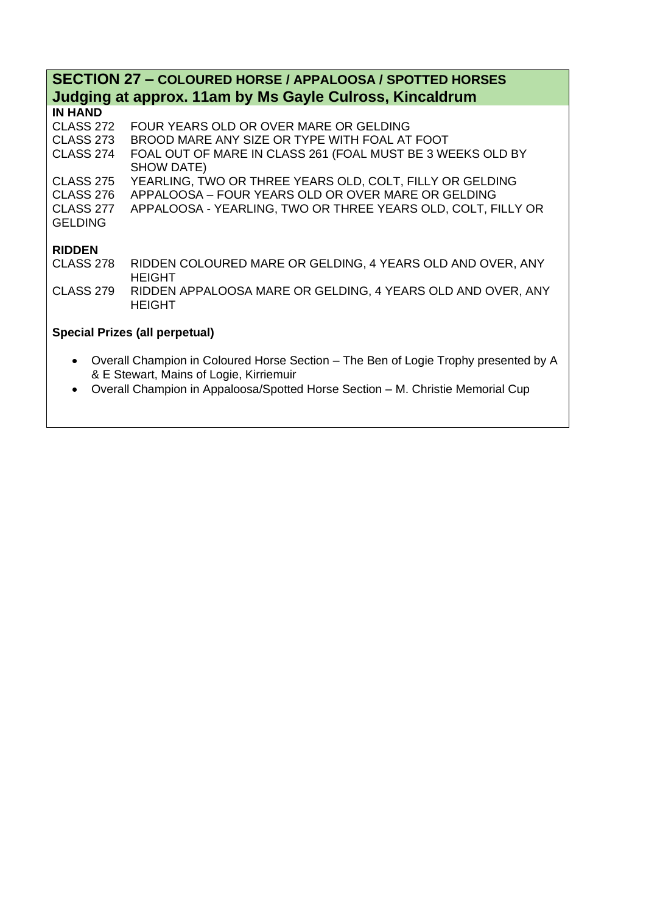### **SECTION 27 – COLOURED HORSE / APPALOOSA / SPOTTED HORSES Judging at approx. 11am by Ms Gayle Culross, Kincaldrum**

| <b>IN HAND</b>              |                                                                              |
|-----------------------------|------------------------------------------------------------------------------|
| CLASS 272                   | FOUR YEARS OLD OR OVER MARE OR GELDING                                       |
| <b>CLASS 273</b>            | BROOD MARE ANY SIZE OR TYPE WITH FOAL AT FOOT                                |
| CLASS 274                   | FOAL OUT OF MARE IN CLASS 261 (FOAL MUST BE 3 WEEKS OLD BY<br>SHOW DATE)     |
| CLASS 275                   | YEARLING, TWO OR THREE YEARS OLD, COLT, FILLY OR GELDING                     |
| <b>CLASS 276</b>            | APPALOOSA - FOUR YEARS OLD OR OVER MARE OR GELDING                           |
| CLASS 277<br><b>GELDING</b> | APPALOOSA - YEARLING, TWO OR THREE YEARS OLD, COLT, FILLY OR                 |
| <b>RIDDEN</b>               |                                                                              |
| <b>CLASS 278</b>            | RIDDEN COLOURED MARE OR GELDING, 4 YEARS OLD AND OVER, ANY<br><b>HEIGHT</b>  |
| <b>CLASS 279</b>            | RIDDEN APPALOOSA MARE OR GELDING, 4 YEARS OLD AND OVER, ANY<br><b>HEIGHT</b> |

#### **Special Prizes (all perpetual)**

- Overall Champion in Coloured Horse Section The Ben of Logie Trophy presented by A & E Stewart, Mains of Logie, Kirriemuir
- Overall Champion in Appaloosa/Spotted Horse Section M. Christie Memorial Cup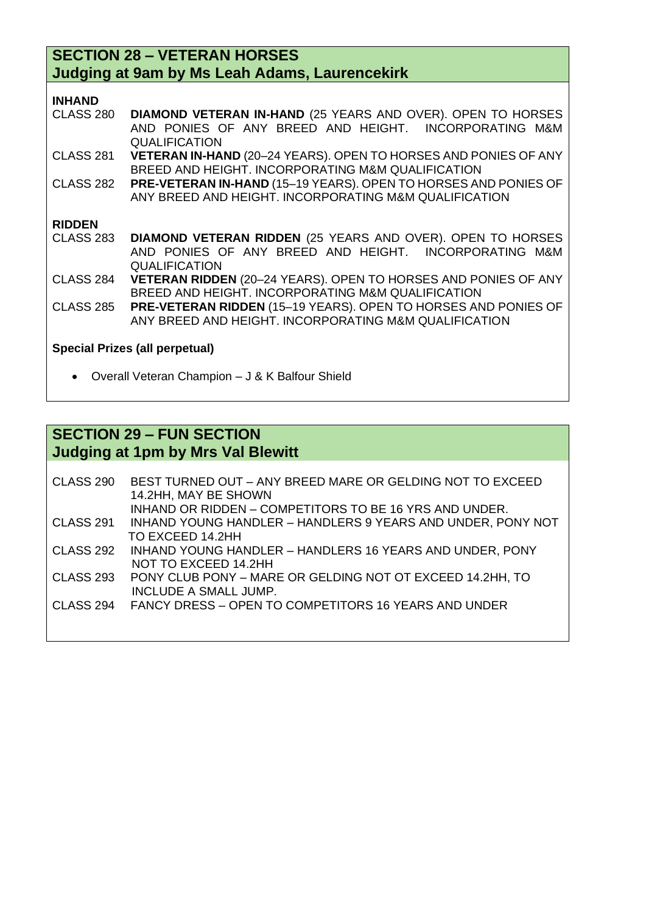#### **SECTION 28 – VETERAN HORSES Judging at 9am by Ms Leah Adams, Laurencekirk**

CLASS 280 **DIAMOND VETERAN IN-HAND** (25 YEARS AND OVER). OPEN TO HORSES AND PONIES OF ANY BREED AND HEIGHT. INCORPORATING M&M **QUALIFICATION** 

CLASS 281 **VETERAN IN-HAND** (20–24 YEARS). OPEN TO HORSES AND PONIES OF ANY BREED AND HEIGHT. INCORPORATING M&M QUALIFICATION

CLASS 282 **PRE-VETERAN IN-HAND** (15–19 YEARS). OPEN TO HORSES AND PONIES OF ANY BREED AND HEIGHT. INCORPORATING M&M QUALIFICATION

#### **RIDDEN**

| CLASS 283 DIAMOND VETERAN RIDDEN (25 YEARS AND OVER). OPEN TO HORSES |                                                       |  |  |  |  |  |
|----------------------------------------------------------------------|-------------------------------------------------------|--|--|--|--|--|
|                                                                      | AND PONIES OF ANY BREED AND HEIGHT. INCORPORATING M&M |  |  |  |  |  |
|                                                                      | <b>QUALIFICATION</b>                                  |  |  |  |  |  |

CLASS 284 **VETERAN RIDDEN** (20–24 YEARS). OPEN TO HORSES AND PONIES OF ANY BREED AND HEIGHT. INCORPORATING M&M QUALIFICATION

CLASS 285 **PRE-VETERAN RIDDEN** (15–19 YEARS). OPEN TO HORSES AND PONIES OF ANY BREED AND HEIGHT. INCORPORATING M&M QUALIFICATION

#### **Special Prizes (all perpetual)**

• Overall Veteran Champion – J & K Balfour Shield

#### **SECTION 29 – FUN SECTION Judging at 1pm by Mrs Val Blewitt**

CLASS 290 BEST TURNED OUT – ANY BREED MARE OR GELDING NOT TO EXCEED 14.2HH, MAY BE SHOWN INHAND OR RIDDEN – COMPETITORS TO BE 16 YRS AND UNDER. CLASS 291 INHAND YOUNG HANDLER – HANDLERS 9 YEARS AND UNDER, PONY NOT TO EXCEED 14.2HH CLASS 292 INHAND YOUNG HANDLER – HANDLERS 16 YEARS AND UNDER, PONY NOT TO EXCEED 14.2HH CLASS 293 PONY CLUB PONY – MARE OR GELDING NOT OT EXCEED 14.2HH, TO INCLUDE A SMALL JUMP. CLASS 294 FANCY DRESS – OPEN TO COMPETITORS 16 YEARS AND UNDER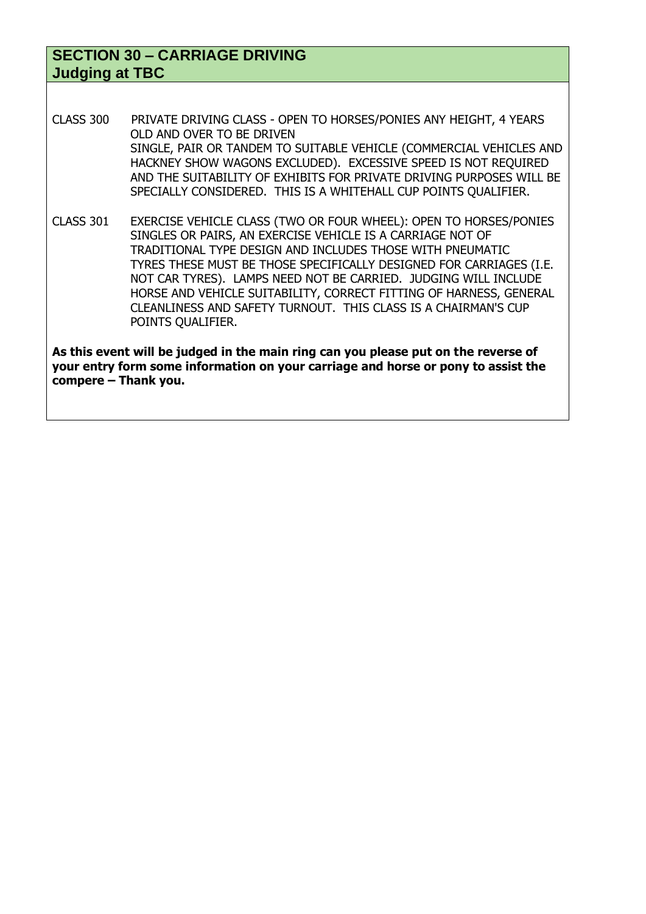#### **SECTION 30 – CARRIAGE DRIVING Judging at TBC**

- CLASS 300 PRIVATE DRIVING CLASS OPEN TO HORSES/PONIES ANY HEIGHT, 4 YEARS OLD AND OVER TO BE DRIVEN SINGLE, PAIR OR TANDEM TO SUITABLE VEHICLE (COMMERCIAL VEHICLES AND HACKNEY SHOW WAGONS EXCLUDED). EXCESSIVE SPEED IS NOT REQUIRED AND THE SUITABILITY OF EXHIBITS FOR PRIVATE DRIVING PURPOSES WILL BE SPECIALLY CONSIDERED. THIS IS A WHITEHALL CUP POINTS QUALIFIER.
- CLASS 301 EXERCISE VEHICLE CLASS (TWO OR FOUR WHEEL): OPEN TO HORSES/PONIES SINGLES OR PAIRS, AN EXERCISE VEHICLE IS A CARRIAGE NOT OF TRADITIONAL TYPE DESIGN AND INCLUDES THOSE WITH PNEUMATIC TYRES THESE MUST BE THOSE SPECIFICALLY DESIGNED FOR CARRIAGES (I.E. NOT CAR TYRES). LAMPS NEED NOT BE CARRIED. JUDGING WILL INCLUDE HORSE AND VEHICLE SUITABILITY, CORRECT FITTING OF HARNESS, GENERAL CLEANLINESS AND SAFETY TURNOUT. THIS CLASS IS A CHAIRMAN'S CUP POINTS QUALIFIER.

**As this event will be judged in the main ring can you please put on the reverse of your entry form some information on your carriage and horse or pony to assist the compere – Thank you.**